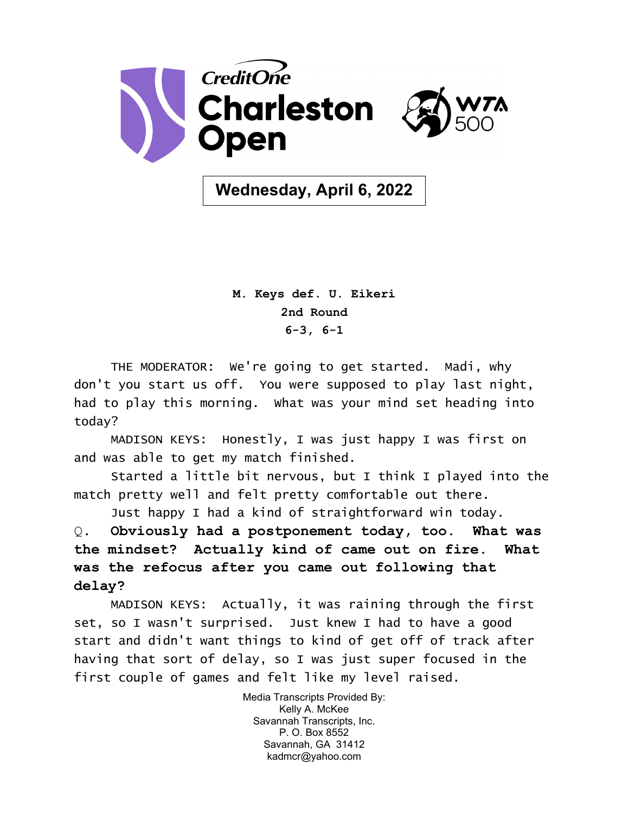

**Wednesday, April 6, 2022**

**M. Keys def. U. Eikeri 2nd Round 6-3, 6-1**

THE MODERATOR: We're going to get started. Madi, why don't you start us off. You were supposed to play last night, had to play this morning. What was your mind set heading into today?

MADISON KEYS: Honestly, I was just happy I was first on and was able to get my match finished.

Started a little bit nervous, but I think I played into the match pretty well and felt pretty comfortable out there.

Just happy I had a kind of straightforward win today.

Q. **Obviously had a postponement today, too. What was the mindset? Actually kind of came out on fire. What was the refocus after you came out following that delay?** 

MADISON KEYS: Actually, it was raining through the first set, so I wasn't surprised. Just knew I had to have a good start and didn't want things to kind of get off of track after having that sort of delay, so I was just super focused in the first couple of games and felt like my level raised.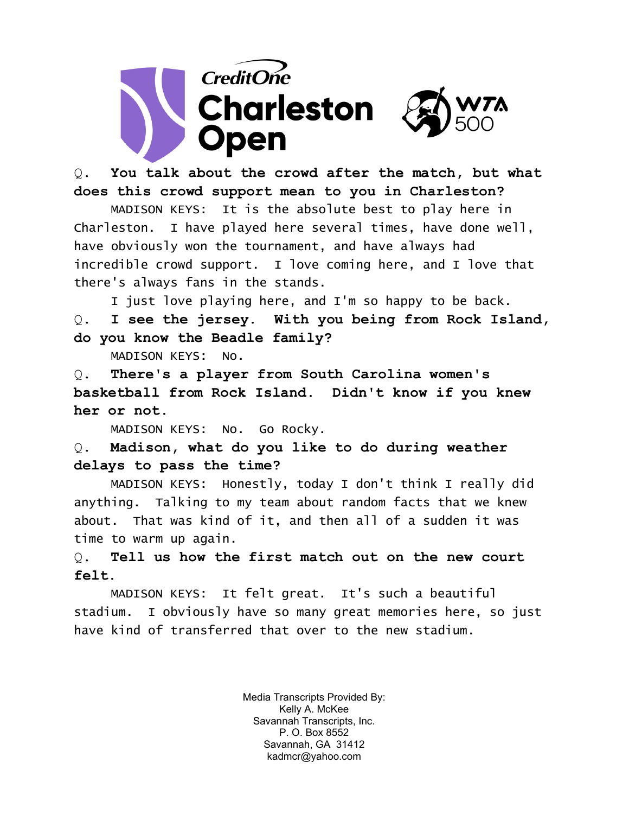

Q. **You talk about the crowd after the match, but what does this crowd support mean to you in Charleston?** 

MADISON KEYS: It is the absolute best to play here in Charleston. I have played here several times, have done well, have obviously won the tournament, and have always had incredible crowd support. I love coming here, and I love that there's always fans in the stands.

I just love playing here, and I'm so happy to be back. Q. **I see the jersey. With you being from Rock Island, do you know the Beadle family?** 

MADISON KEYS: No.

Q. **There's a player from South Carolina women's basketball from Rock Island. Didn't know if you knew her or not.** 

MADISON KEYS: No. Go Rocky.

Q. **Madison, what do you like to do during weather delays to pass the time?** 

MADISON KEYS: Honestly, today I don't think I really did anything. Talking to my team about random facts that we knew about. That was kind of it, and then all of a sudden it was time to warm up again.

Q. **Tell us how the first match out on the new court felt.** 

MADISON KEYS: It felt great. It's such a beautiful stadium. I obviously have so many great memories here, so just have kind of transferred that over to the new stadium.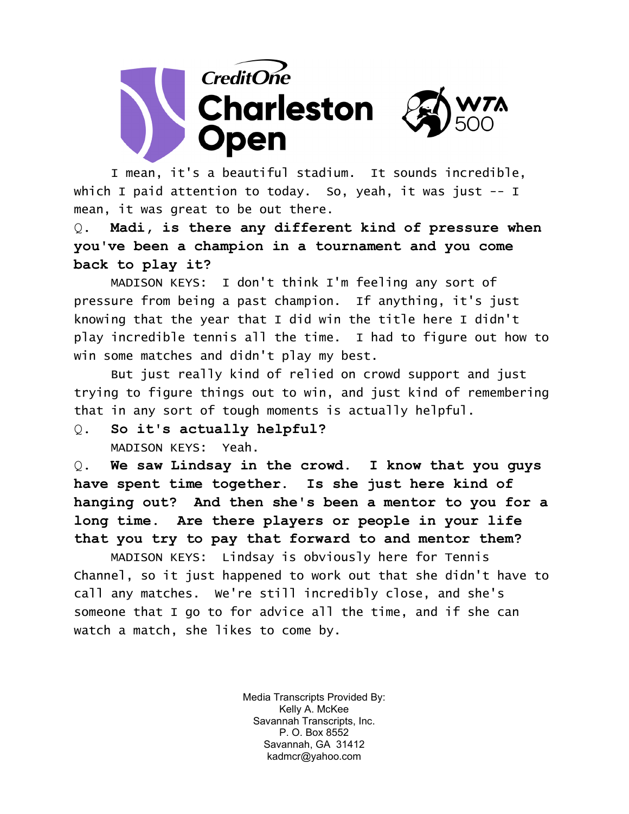

I mean, it's a beautiful stadium. It sounds incredible, which I paid attention to today. So, yeah, it was just -- I mean, it was great to be out there.

Q. **Madi, is there any different kind of pressure when you've been a champion in a tournament and you come back to play it?** 

MADISON KEYS: I don't think I'm feeling any sort of pressure from being a past champion. If anything, it's just knowing that the year that I did win the title here I didn't play incredible tennis all the time. I had to figure out how to win some matches and didn't play my best.

But just really kind of relied on crowd support and just trying to figure things out to win, and just kind of remembering that in any sort of tough moments is actually helpful.

Q. **So it's actually helpful?**  MADISON KEYS: Yeah.

Q. **We saw Lindsay in the crowd. I know that you guys have spent time together. Is she just here kind of hanging out? And then she's been a mentor to you for a long time. Are there players or people in your life that you try to pay that forward to and mentor them?** 

MADISON KEYS: Lindsay is obviously here for Tennis Channel, so it just happened to work out that she didn't have to call any matches. We're still incredibly close, and she's someone that I go to for advice all the time, and if she can watch a match, she likes to come by.